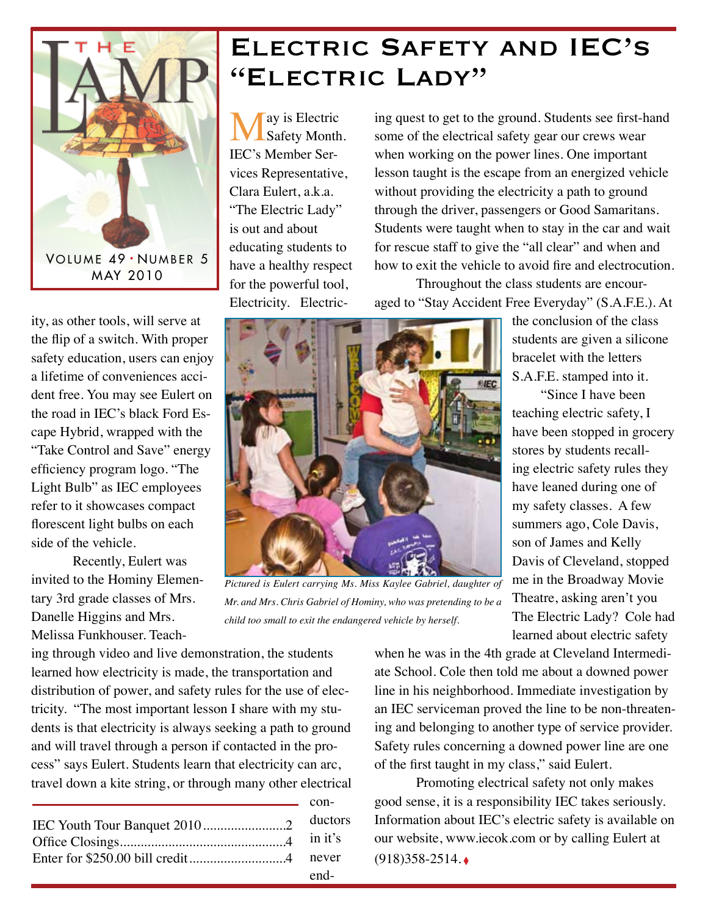

## Electric Safety and IEC's "Electric Lady"

May is Electric<br>
Safety Month. IEC's Member Services Representative, Clara Eulert, a.k.a. "The Electric Lady" is out and about educating students to have a healthy respect for the powerful tool, Electricity. Electric-

ing quest to get to the ground. Students see first-hand some of the electrical safety gear our crews wear when working on the power lines. One important lesson taught is the escape from an energized vehicle without providing the electricity a path to ground through the driver, passengers or Good Samaritans. Students were taught when to stay in the car and wait for rescue staff to give the "all clear" and when and how to exit the vehicle to avoid fire and electrocution.

Throughout the class students are encouraged to "Stay Accident Free Everyday" (S.A.F.E.). At

ity, as other tools, will serve at the flip of a switch. With proper safety education, users can enjoy a lifetime of conveniences accident free. You may see Eulert on the road in IEC's black Ford Escape Hybrid, wrapped with the "Take Control and Save" energy efficiency program logo. "The Light Bulb" as IEC employees refer to it showcases compact florescent light bulbs on each side of the vehicle.

Recently, Eulert was invited to the Hominy Elementary 3rd grade classes of Mrs. Danelle Higgins and Mrs. Melissa Funkhouser. Teach-



*Pictured is Eulert carrying Ms. Miss Kaylee Gabriel, daughter of Mr. and Mrs. Chris Gabriel of Hominy, who was pretending to be a child too small to exit the endangered vehicle by herself.* 

 $con$ 

the conclusion of the class students are given a silicone bracelet with the letters S.A.F.E. stamped into it.

"Since I have been teaching electric safety, I have been stopped in grocery stores by students recalling electric safety rules they have leaned during one of my safety classes. A few summers ago, Cole Davis, son of James and Kelly Davis of Cleveland, stopped me in the Broadway Movie Theatre, asking aren't you The Electric Lady? Cole had learned about electric safety

ing through video and live demonstration, the students learned how electricity is made, the transportation and distribution of power, and safety rules for the use of electricity. "The most important lesson I share with my students is that electricity is always seeking a path to ground and will travel through a person if contacted in the process" says Eulert. Students learn that electricity can arc, travel down a kite string, or through many other electrical

| end- |
|------|

when he was in the 4th grade at Cleveland Intermediate School. Cole then told me about a downed power line in his neighborhood. Immediate investigation by an IEC serviceman proved the line to be non-threatening and belonging to another type of service provider. Safety rules concerning a downed power line are one of the first taught in my class," said Eulert.

Promoting electrical safety not only makes good sense, it is a responsibility IEC takes seriously. Information about IEC's electric safety is available on our website, www.iecok.com or by calling Eulert at (918)358-2514. ◊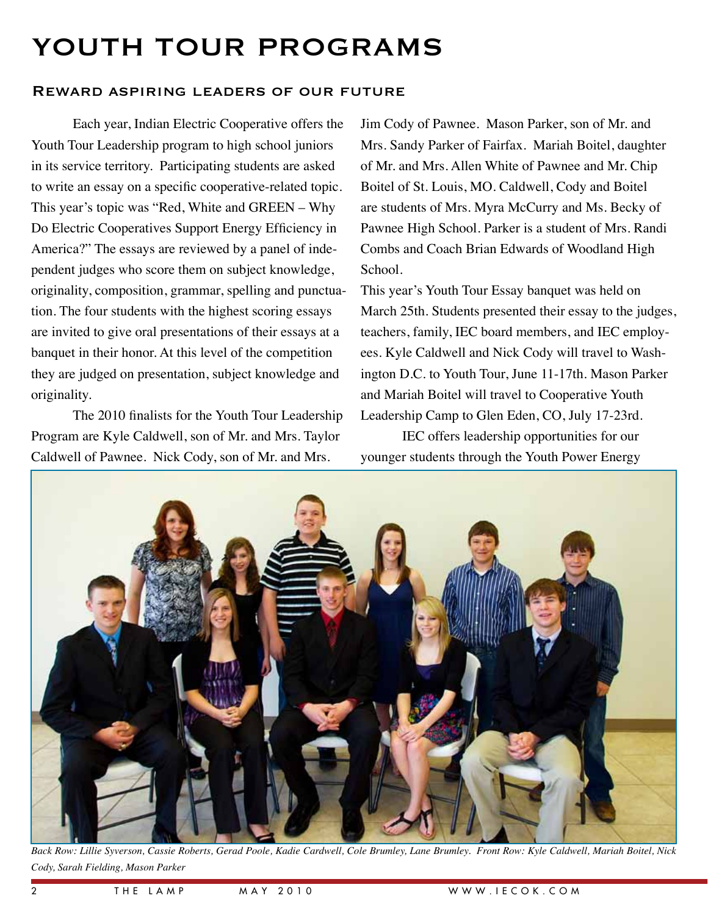## YOUTH TOUR PROGRAMS

## Reward aspiring leaders of our future

Each year, Indian Electric Cooperative offers the Youth Tour Leadership program to high school juniors in its service territory. Participating students are asked to write an essay on a specific cooperative-related topic. This year's topic was "Red, White and GREEN – Why Do Electric Cooperatives Support Energy Efficiency in America?" The essays are reviewed by a panel of independent judges who score them on subject knowledge, originality, composition, grammar, spelling and punctuation. The four students with the highest scoring essays are invited to give oral presentations of their essays at a banquet in their honor. At this level of the competition they are judged on presentation, subject knowledge and originality.

The 2010 finalists for the Youth Tour Leadership Program are Kyle Caldwell, son of Mr. and Mrs. Taylor Caldwell of Pawnee. Nick Cody, son of Mr. and Mrs.

Jim Cody of Pawnee. Mason Parker, son of Mr. and Mrs. Sandy Parker of Fairfax. Mariah Boitel, daughter of Mr. and Mrs. Allen White of Pawnee and Mr. Chip Boitel of St. Louis, MO. Caldwell, Cody and Boitel are students of Mrs. Myra McCurry and Ms. Becky of Pawnee High School. Parker is a student of Mrs. Randi Combs and Coach Brian Edwards of Woodland High School.

This year's Youth Tour Essay banquet was held on March 25th. Students presented their essay to the judges, teachers, family, IEC board members, and IEC employees. Kyle Caldwell and Nick Cody will travel to Washington D.C. to Youth Tour, June 11-17th. Mason Parker and Mariah Boitel will travel to Cooperative Youth Leadership Camp to Glen Eden, CO, July 17-23rd.

IEC offers leadership opportunities for our younger students through the Youth Power Energy



*Back Row: Lillie Syverson, Cassie Roberts, Gerad Poole, Kadie Cardwell, Cole Brumley, Lane Brumley. Front Row: Kyle Caldwell, Mariah Boitel, Nick Cody, Sarah Fielding, Mason Parker*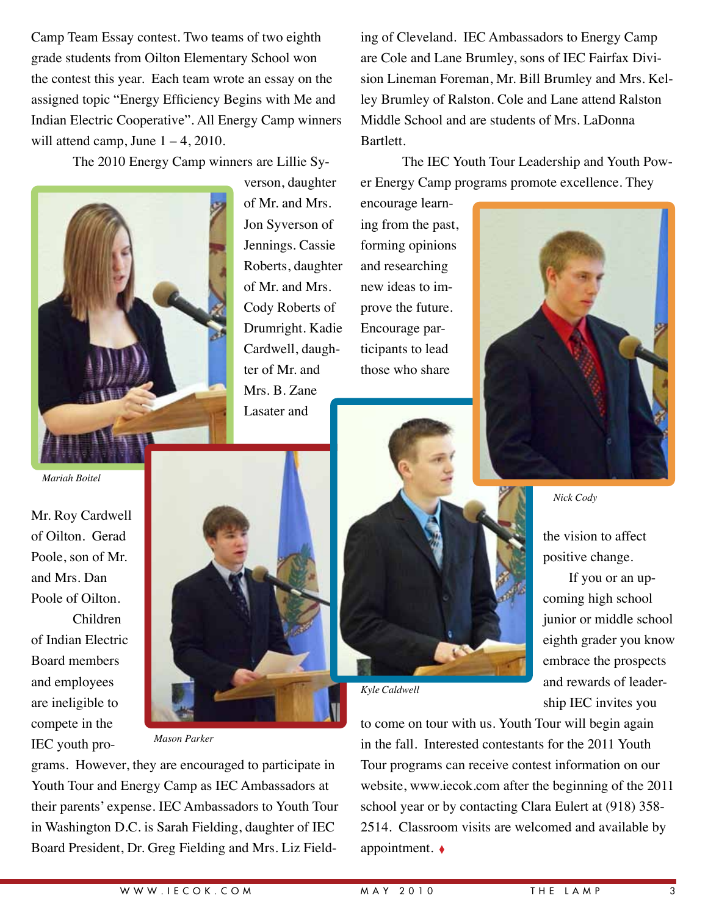Camp Team Essay contest. Two teams of two eighth grade students from Oilton Elementary School won the contest this year. Each team wrote an essay on the assigned topic "Energy Efficiency Begins with Me and Indian Electric Cooperative". All Energy Camp winners will attend camp, June  $1 - 4$ , 2010.

The 2010 Energy Camp winners are Lillie Sy-



verson, daughter of Mr. and Mrs. Jon Syverson of Jennings. Cassie Roberts, daughter of Mr. and Mrs. Cody Roberts of Drumright. Kadie Cardwell, daughter of Mr. and Mrs. B. Zane Lasater and

ing of Cleveland. IEC Ambassadors to Energy Camp are Cole and Lane Brumley, sons of IEC Fairfax Division Lineman Foreman, Mr. Bill Brumley and Mrs. Kelley Brumley of Ralston. Cole and Lane attend Ralston Middle School and are students of Mrs. LaDonna Bartlett.

The IEC Youth Tour Leadership and Youth Power Energy Camp programs promote excellence. They

encourage learning from the past, forming opinions and researching new ideas to improve the future. Encourage participants to lead those who share



*Nick Cody*

the vision to affect positive change.

If you or an upcoming high school junior or middle school eighth grader you know embrace the prospects and rewards of leadership IEC invites you

*Mariah Boitel*

Mr. Roy Cardwell of Oilton. Gerad Poole, son of Mr. and Mrs. Dan Poole of Oilton. Children

of Indian Electric Board members and employees are ineligible to compete in the IEC youth pro-



*Mason Parker*

grams. However, they are encouraged to participate in Youth Tour and Energy Camp as IEC Ambassadors at their parents' expense. IEC Ambassadors to Youth Tour in Washington D.C. is Sarah Fielding, daughter of IEC Board President, Dr. Greg Fielding and Mrs. Liz Field-



to come on tour with us. Youth Tour will begin again in the fall. Interested contestants for the 2011 Youth Tour programs can receive contest information on our website, www.iecok.com after the beginning of the 2011 school year or by contacting Clara Eulert at (918) 358- 2514. Classroom visits are welcomed and available by appointment. ◊